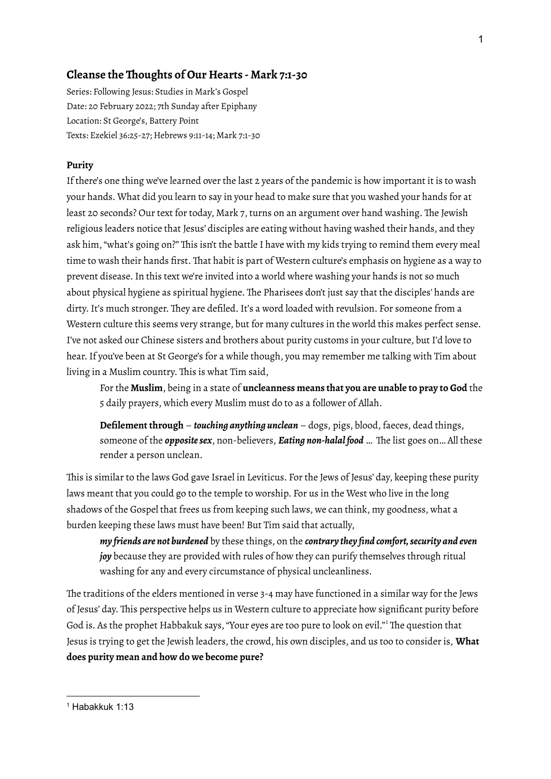# **Cleanse the Thoughts of Our Hearts - Mark 7:1-30**

Series: Following Jesus: Studies in Mark's Gospel Date: 20 February 2022; 7th Sunday after Epiphany Location: St George's, Battery Point Texts: Ezekiel 36:25-27; Hebrews 9:11-14; Mark 7:1-30

#### **Purity**

If there's one thing we've learned over the last 2 years of the pandemic is how important it is to wash your hands. What did you learn to say in your head to make sure that you washed your hands for at least 20 seconds? Our text for today, Mark 7, turns on an argument over hand washing. The Jewish religious leaders notice that Jesus' disciples are eating without having washed their hands, and they ask him, "what's going on?" This isn't the battle I have with my kids trying to remind them every meal time to wash their hands first. That habit is part of Western culture's emphasis on hygiene as a way to prevent disease.In this text we're invited into a world where washing your hands is not so much about physical hygiene as spiritual hygiene. The Pharisees don't just say that the disciples' hands are dirty. It's much stronger. They are defiled. It's a word loaded with revulsion. For someone from a Western culture this seems very strange, but for many cultures in the world this makes perfect sense. I've not asked our Chinese sisters and brothers about purity customs in your culture, but I'd love to hear.If you've been at St George's for a while though, you may remember me talking with Tim about living in a Muslim country. This is what Tim said,

For the **Muslim**, being in a state of **uncleanness means that you are unable to pray to God** the 5 daily prayers, which every Muslim must do to as a follower of Allah.

**Defilement through** – *touching anything unclean* – dogs, pigs, blood, faeces, dead things, someone of the *oppositesex*, non-believers, *Eating non-halal food* … The list goes on… All these render a person unclean.

This is similar to the laws God gave Israel in Leviticus. For the Jews of Jesus' day, keeping these purity laws meant that you could go to the temple to worship. For us in the West who live in the long shadows of the Gospel that frees us from keeping such laws, we can think, my goodness, what a burden keeping these laws must have been! But Tim said that actually,

*my friends are not burdened* by these things, on the *contrary they find comfort,security and even joy* because they are provided with rules of how they can purify themselves through ritual washing for any and every circumstance of physical uncleanliness.

The traditions of the elders mentioned in verse 3-4 may have functioned in a similar way for the Jews of Jesus' day. This perspective helps us in Western culture to appreciate how significant purity before God is. As the prophet Habbakuk says, "Your eyes are too pure to look on evil."<sup>1</sup> The question that Jesus is trying to get the Jewish leaders, the crowd, his own disciples, and us too to consider is, **What does purity mean and how do we become pure?**

 $<sup>1</sup>$  Habakkuk 1:13</sup>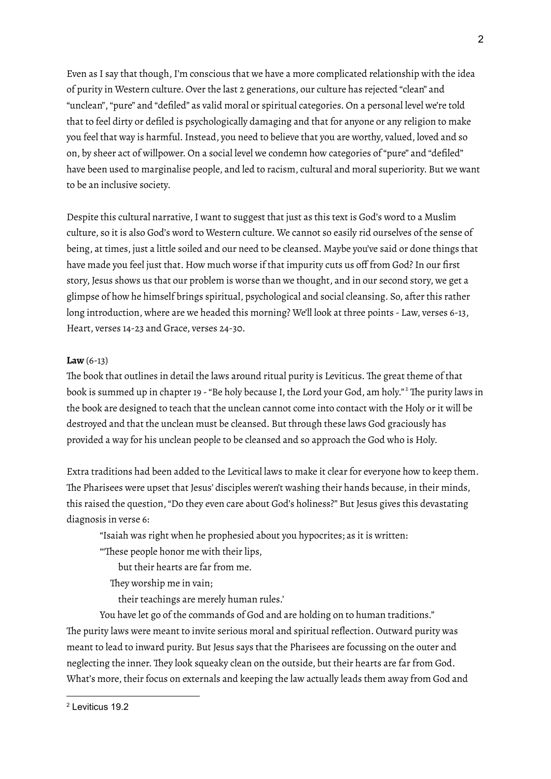Even as I say that though, I'm conscious that we have a more complicated relationship with the idea of purity in Western culture. Over the last 2 generations, our culture has rejected "clean" and "unclean", "pure" and "defiled" as valid moral or spiritual categories. On a personal level we're told that to feel dirty or defiled is psychologically damaging and that for anyone or any religion to make you feel that way is harmful. Instead, you need to believe that you are worthy, valued, loved and so on, by sheer act of willpower. On a social level we condemn how categories of "pure" and "defiled" have been used to marginalise people, and led to racism, cultural and moral superiority. But we want to be an inclusive society.

Despite this cultural narrative, I want to suggest that just as this text is God's word to a Muslim culture, so it is also God's word to Western culture. We cannot so easily rid ourselves of the sense of being, at times, just a little soiled and our need to be cleansed. Maybe you've said or done things that have made you feel just that. How much worse if that impurity cuts us off from God? In our first story, Jesus shows us that our problem is worse than we thought, and in our second story, we get a glimpse of how he himself brings spiritual, psychological and social cleansing. So, after this rather long introduction, where are we headed this morning? We'll look at three points - Law, verses 6-13, Heart, verses 14-23 and Grace, verses 24-30.

### **Law** (6-13)

The book that outlines in detail the laws around ritual purity is Leviticus. The great theme of that book is summed up in chapter 19 -"Be holy because I, the Lord your God, am holy." <sup>2</sup> The purity laws in the book are designed to teach that the unclean cannot come into contact with the Holy or it will be destroyed and that the unclean must be cleansed. But through these laws God graciously has provided a way for his unclean people to be cleansed and so approach the God who is Holy.

Extra traditions had been added to the Levitical laws to make it clear for everyone how to keep them. The Pharisees were upset that Jesus' disciples weren't washing their hands because, in their minds, this raised the question,"Do they even care about God's holiness?" But Jesus gives this devastating diagnosis in verse 6:

"Isaiah was right when he prophesied about you hypocrites; as it is written:

"'These people honor me with their lips,

but their hearts are far from me.

They worship me in vain;

their teachings are merely human rules.'

You have let go of the commands of God and are holding on to human traditions." The purity laws were meant to invite serious moral and spiritual reflection. Outward purity was meant to lead to inward purity. But Jesus says that the Pharisees are focussing on the outer and neglecting the inner. They look squeaky clean on the outside, but their hearts are far from God. What's more, their focus on externals and keeping the law actually leads them away from God and

<sup>2</sup> Leviticus 19.2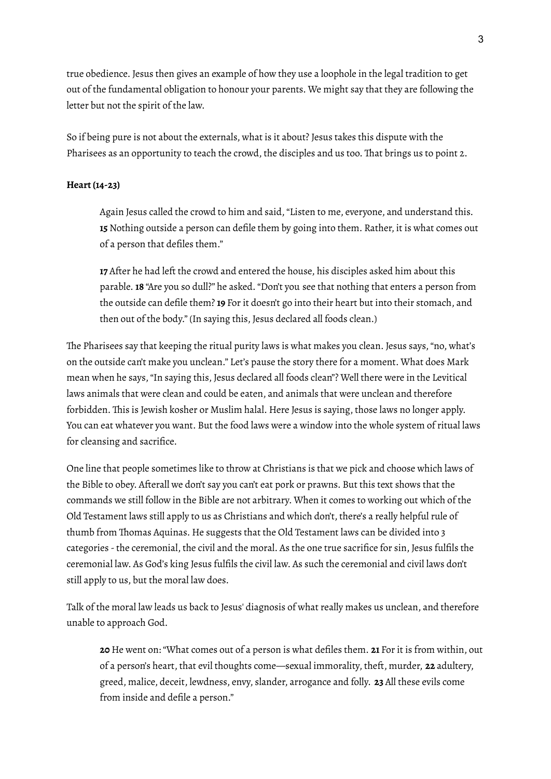true obedience. Jesus then gives an example of how they use a loophole in the legal tradition to get out of the fundamental obligation to honour your parents. We might say that they are following the letter but not the spirit of the law.

So if being pure is not about the externals, what is it about? Jesus takes this dispute with the Pharisees as an opportunity to teach the crowd, the disciples and us too. That brings us to point 2.

## **Heart (14-23)**

Again Jesus called the crowd to him and said, "Listen to me, everyone, and understand this. **15** Nothing outside a person can defile them by going into them. Rather, it is what comes out of a person that defiles them."

**17** After he had left the crowd and entered the house, his disciples asked him about this parable. **18** "Are you so dull?" he asked."Don't you see that nothing that enters a person from the outside can defile them? **19** For it doesn't go into their heart but into their stomach, and then out of the body." (In saying this, Jesus declared all foods clean.)

The Pharisees say that keeping the ritual purity laws is what makes you clean. Jesus says,"no, what's on the outside can't make you unclean." Let's pause the story there for a moment. What does Mark mean when he says,"In saying this, Jesus declared all foods clean"? Well there were in the Levitical laws animals that were clean and could be eaten, and animals that were unclean and therefore forbidden. This is Jewish kosher or Muslim halal. Here Jesus is saying, those laws no longer apply. You can eat whatever you want. But the food laws were a window into the whole system of ritual laws for cleansing and sacrifice.

One line that people sometimes like to throw at Christians is that we pick and choose which laws of the Bible to obey. Afterall we don't say you can't eat pork or prawns. But this text shows that the commands we still follow in the Bible are not arbitrary. When it comes to working out which of the Old Testament laws still apply to us as Christians and which don't, there's a really helpful rule of thumb from Thomas Aquinas. He suggests that the Old Testament laws can be divided into 3 categories -the ceremonial, the civil and the moral. As the one true sacrifice for sin, Jesus fulfils the ceremonial law. As God's king Jesus fulfils the civil law. As such the ceremonial and civil laws don't still apply to us, but the moral law does.

Talk of the moral law leads us back to Jesus' diagnosis of what really makes us unclean, and therefore unable to approach God.

**20** He went on: "What comes out of a person is what defiles them. **21** For it is from within, out of a person's heart, that evil thoughts come—sexual immorality, theft, murder, **22** adultery, greed, malice, deceit, lewdness, envy, slander, arrogance and folly. **23** All these evils come from inside and defile a person."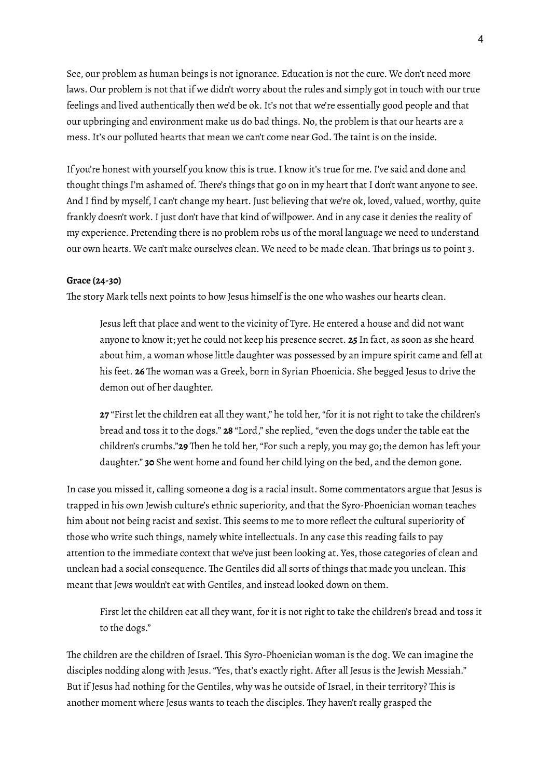See, our problem as human beings is not ignorance. Education is not the cure. We don't need more laws. Our problem is not that if we didn't worry about the rules and simply got in touch with our true feelings and lived authentically then we'd be ok. It's not that we're essentially good people and that our upbringing and environment make us do bad things. No, the problem is that our hearts are a mess.It's our polluted hearts that mean we can't come near God. The taint is on the inside.

If you're honest with yourself you know this is true. I know it's true for me. I've said and done and thought things I'm ashamed of. There's things that go on in my heart that I don't want anyone to see. And I find by myself, I can't change my heart. Just believing that we're ok, loved, valued, worthy, quite frankly doesn't work.I just don't have that kind of willpower. And in any case it denies the reality of my experience. Pretending there is no problem robs us of the moral language we need to understand our own hearts. We can't make ourselves clean. We need to be made clean. That brings us to point 3.

#### **Grace (24-30)**

The story Mark tells next points to how Jesus himself is the one who washes our hearts clean.

Jesus left that place and went to the vicinity of Tyre. He entered a house and did not want anyone to know it; yet he could not keep his presence secret. **25** In fact, as soon as she heard about him, a woman whose little daughter was possessed by an impure spirit came and fell at his feet. **26** The woman was a Greek, born in Syrian Phoenicia. She begged Jesus to drive the demon out of her daughter.

**27** "First let the children eat all they want," he told her, "for it is not right to take the children's bread and toss it to the dogs." **28** "Lord," she replied, "even the dogs under the table eat the children's crumbs."**29** Then he told her,"For such a reply, you may go; the demon has left your daughter." **30** She went home and found her child lying on the bed, and the demon gone.

In case you missed it, calling someone a dog is a racial insult. Some commentators argue that Jesus is trapped in his own Jewish culture's ethnic superiority, and that the Syro-Phoenician woman teaches him about not being racist and sexist. This seems to me to more reflect the cultural superiority of those who write such things, namely white intellectuals.In any case this reading fails to pay attention to the immediate context that we've just been looking at. Yes, those categories of clean and unclean had a social consequence. The Gentiles did all sorts of things that made you unclean. This meant that Jews wouldn't eat with Gentiles, and instead looked down on them.

First let the children eat all they want, for it is not right to take the children's bread and toss it to the dogs."

The children are the children of Israel. This Syro-Phoenician woman is the dog. We can imagine the disciples nodding along with Jesus."Yes, that's exactly right. After all Jesus is the Jewish Messiah." But if Jesus had nothing for the Gentiles, why was he outside of Israel, in their territory? This is another moment where Jesus wants to teach the disciples. They haven't really grasped the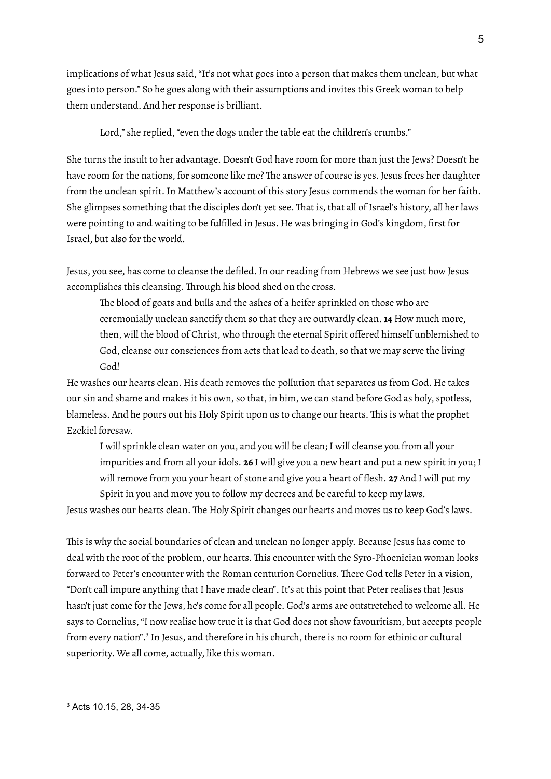implications of what Jesus said,"It's not what goes into a person that makes them unclean, but what goes into person." So he goes along with their assumptions and invites this Greek woman to help them understand. And her response is brilliant.

Lord," she replied, "even the dogs under the table eat the children's crumbs."

She turns the insult to her advantage. Doesn't God have room for more than just the Jews? Doesn't he have room for the nations, for someone like me? The answer of course is yes. Jesus frees her daughter from the unclean spirit. In Matthew's account of this story Jesus commends the woman for her faith. She glimpses something that the disciples don't yet see. That is, that all of Israel's history, all her laws were pointing to and waiting to be fulfilled in Jesus. He was bringing in God's kingdom, first for Israel, but also for the world.

Jesus, you see, has come to cleanse the defiled.In our reading from Hebrews we see just how Jesus accomplishes this cleansing. Through his blood shed on the cross.

The blood of goats and bulls and the ashes of a heifer sprinkled on those who are ceremonially unclean sanctify them so that they are outwardly clean. **14** How much more, then, will the blood of Christ, who through the eternal Spirit offered himself unblemished to God, cleanse our consciences from acts that lead to death, so that we may serve the living God!

He washes our hearts clean. His death removes the pollution that separates us from God. He takes our sin and shame and makes it his own, so that, in him, we can stand before God as holy, spotless, blameless. And he pours out his Holy Spirit upon us to change our hearts. This is what the prophet Ezekiel foresaw.

I will sprinkle clean water on you, and you will be clean; I will cleanse you from all your impurities and from all your idols. **26** I will give you a new heart and put a new spirit in you; I will remove from you your heart of stone and give you a heart of flesh. **27** And I will put my Spirit in you and move you to follow my decrees and be careful to keep my laws.

Jesus washes our hearts clean. The Holy Spirit changes our hearts and moves us to keep God's laws.

This is why the social boundaries of clean and unclean no longer apply. Because Jesus has come to deal with the root of the problem, our hearts. This encounter with the Syro-Phoenician woman looks forward to Peter's encounter with the Roman centurion Cornelius. There God tells Peter in a vision, "Don't call impure anything that I have made clean".It's at this point that Peter realises that Jesus hasn't just come for the Jews, he's come for all people. God's arms are outstretched to welcome all. He says to Cornelius,"I now realise how true it is that God does not show favouritism, but accepts people from every nation".<sup>3</sup> In Jesus, and therefore in his church, there is no room for ethinic or cultural superiority. We all come, actually, like this woman.

<sup>3</sup> Acts 10.15, 28, 34-35